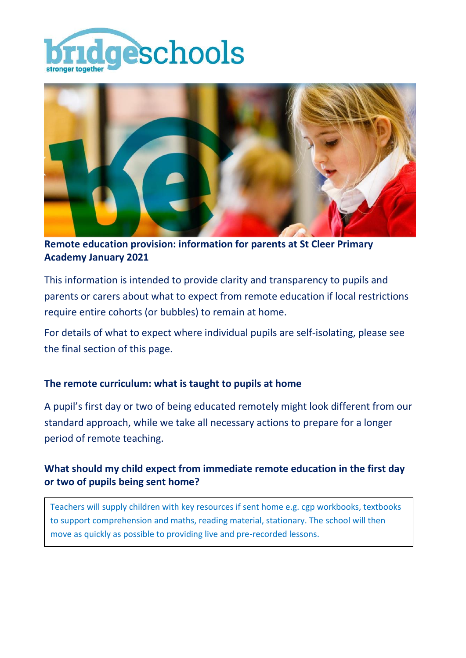



**Remote education provision: information for parents at St Cleer Primary Academy January 2021**

This information is intended to provide clarity and transparency to pupils and parents or carers about what to expect from remote education if local restrictions require entire cohorts (or bubbles) to remain at home.

For details of what to expect where individual pupils are self-isolating, please see the final section of this page.

### **The remote curriculum: what is taught to pupils at home**

A pupil's first day or two of being educated remotely might look different from our standard approach, while we take all necessary actions to prepare for a longer period of remote teaching.

# **What should my child expect from immediate remote education in the first day or two of pupils being sent home?**

Teachers will supply children with key resources if sent home e.g. cgp workbooks, textbooks to support comprehension and maths, reading material, stationary. The school will then move as quickly as possible to providing live and pre-recorded lessons.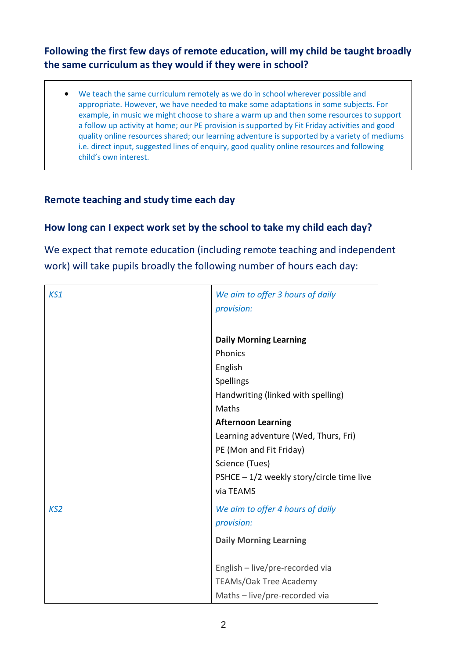# **Following the first few days of remote education, will my child be taught broadly the same curriculum as they would if they were in school?**

 We teach the same curriculum remotely as we do in school wherever possible and appropriate. However, we have needed to make some adaptations in some subjects. For example, in music we might choose to share a warm up and then some resources to support a follow up activity at home; our PE provision is supported by Fit Friday activities and good quality online resources shared; our learning adventure is supported by a variety of mediums i.e. direct input, suggested lines of enquiry, good quality online resources and following child's own interest.

# **Remote teaching and study time each day**

### **How long can I expect work set by the school to take my child each day?**

We expect that remote education (including remote teaching and independent work) will take pupils broadly the following number of hours each day:

| KS1             | We aim to offer 3 hours of daily<br>provision: |
|-----------------|------------------------------------------------|
|                 | <b>Daily Morning Learning</b>                  |
|                 | Phonics                                        |
|                 | English                                        |
|                 | Spellings                                      |
|                 | Handwriting (linked with spelling)             |
|                 | Maths                                          |
|                 | <b>Afternoon Learning</b>                      |
|                 | Learning adventure (Wed, Thurs, Fri)           |
|                 | PE (Mon and Fit Friday)                        |
|                 | Science (Tues)                                 |
|                 | PSHCE $-1/2$ weekly story/circle time live     |
|                 | via TEAMS                                      |
| KS <sub>2</sub> | We aim to offer 4 hours of daily               |
|                 | provision:                                     |
|                 | <b>Daily Morning Learning</b>                  |
|                 |                                                |
|                 | English - live/pre-recorded via                |
|                 | TEAMs/Oak Tree Academy                         |
|                 | Maths - live/pre-recorded via                  |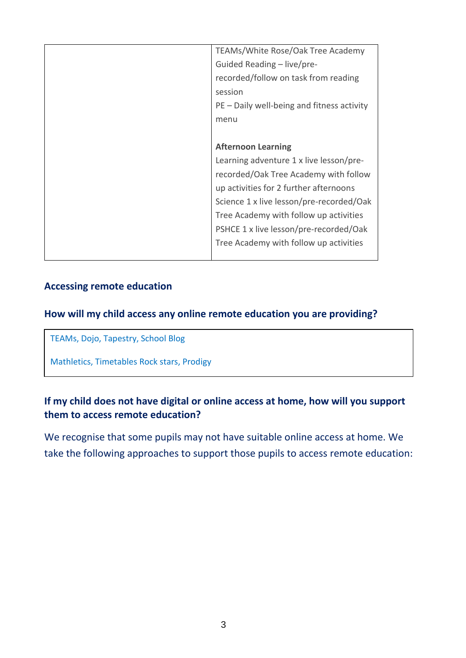| TEAMs/White Rose/Oak Tree Academy          |
|--------------------------------------------|
| Guided Reading - live/pre-                 |
| recorded/follow on task from reading       |
| session                                    |
| PE – Daily well-being and fitness activity |
| menu                                       |
|                                            |
| <b>Afternoon Learning</b>                  |
| Learning adventure 1 x live lesson/pre-    |
| recorded/Oak Tree Academy with follow      |
| up activities for 2 further afternoons     |
| Science 1 x live lesson/pre-recorded/Oak   |
| Tree Academy with follow up activities     |
| PSHCE 1 x live lesson/pre-recorded/Oak     |
| Tree Academy with follow up activities     |
|                                            |

#### **Accessing remote education**

### **How will my child access any online remote education you are providing?**

TEAMs, Dojo, Tapestry, School Blog

Mathletics, Timetables Rock stars, Prodigy

## **If my child does not have digital or online access at home, how will you support them to access remote education?**

We recognise that some pupils may not have suitable online access at home. We take the following approaches to support those pupils to access remote education: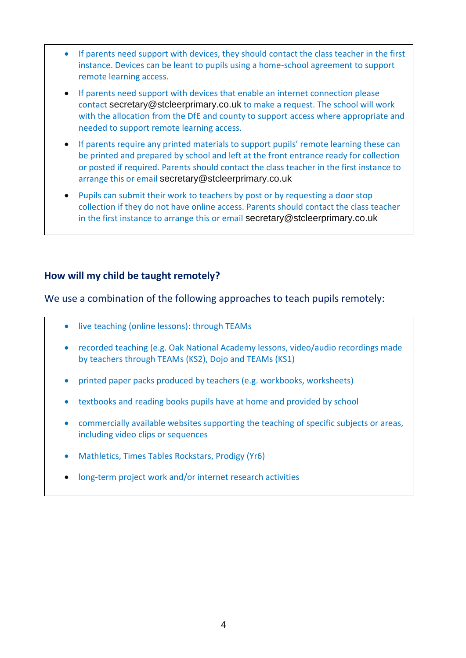- If parents need support with devices, they should contact the class teacher in the first instance. Devices can be leant to pupils using a home-school agreement to support remote learning access.
- If parents need support with devices that enable an internet connection please contact [secretary@stcleerprimary.co.uk](mailto:secretary@stcleerprimary.co.uk) to make a request. The school will work with the allocation from the DfE and county to support access where appropriate and needed to support remote learning access.
- If parents require any printed materials to support pupils' remote learning these can be printed and prepared by school and left at the front entrance ready for collection or posted if required. Parents should contact the class teacher in the first instance to arrange this or email [secretary@stcleerprimary.co.uk](mailto:secretary@stcleerprimary.co.uk)
- Pupils can submit their work to teachers by post or by requesting a door stop collection if they do not have online access. Parents should contact the class teacher in the first instance to arrange this or email [secretary@stcleerprimary.co.uk](mailto:secretary@stcleerprimary.co.uk)

#### **How will my child be taught remotely?**

We use a combination of the following approaches to teach pupils remotely:

- live teaching (online lessons): through TEAMs
- recorded teaching (e.g. Oak National Academy lessons, video/audio recordings made by teachers through TEAMs (KS2), Dojo and TEAMs (KS1)
- printed paper packs produced by teachers (e.g. workbooks, worksheets)
- textbooks and reading books pupils have at home and provided by school
- commercially available websites supporting the teaching of specific subjects or areas, including video clips or sequences
- Mathletics, Times Tables Rockstars, Prodigy (Yr6)
- long-term project work and/or internet research activities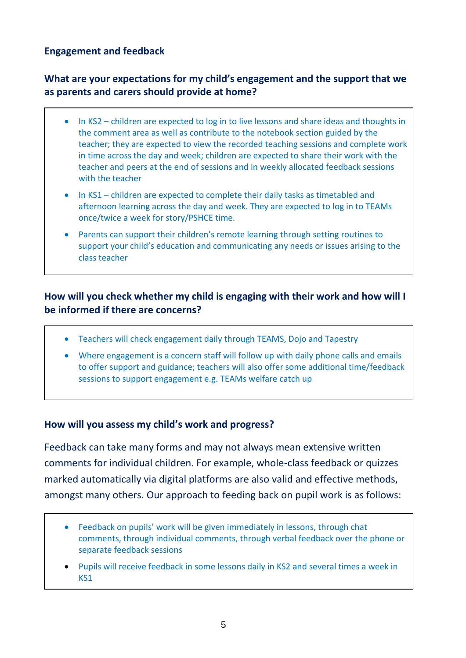### **Engagement and feedback**

-

# **What are your expectations for my child's engagement and the support that we as parents and carers should provide at home?**

- In KS2 children are expected to log in to live lessons and share ideas and thoughts in the comment area as well as contribute to the notebook section guided by the teacher; they are expected to view the recorded teaching sessions and complete work in time across the day and week; children are expected to share their work with the teacher and peers at the end of sessions and in weekly allocated feedback sessions with the teacher
- In KS1 children are expected to complete their daily tasks as timetabled and afternoon learning across the day and week. They are expected to log in to TEAMs once/twice a week for story/PSHCE time.
- Parents can support their children's remote learning through setting routines to support your child's education and communicating any needs or issues arising to the class teacher

### **How will you check whether my child is engaging with their work and how will I be informed if there are concerns?**

- Teachers will check engagement daily through TEAMS, Dojo and Tapestry
- Where engagement is a concern staff will follow up with daily phone calls and emails to offer support and guidance; teachers will also offer some additional time/feedback sessions to support engagement e.g. TEAMs welfare catch up

#### **How will you assess my child's work and progress?**

Feedback can take many forms and may not always mean extensive written comments for individual children. For example, whole-class feedback or quizzes marked automatically via digital platforms are also valid and effective methods, amongst many others. Our approach to feeding back on pupil work is as follows:

- Feedback on pupils' work will be given immediately in lessons, through chat comments, through individual comments, through verbal feedback over the phone or separate feedback sessions
- Pupils will receive feedback in some lessons daily in KS2 and several times a week in KS1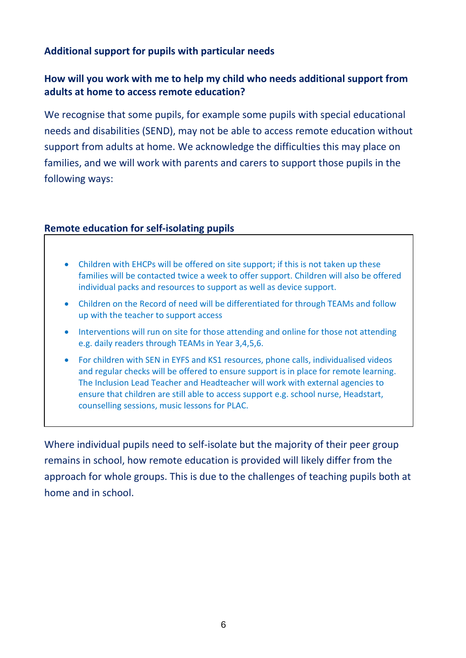### **Additional support for pupils with particular needs**

# **How will you work with me to help my child who needs additional support from adults at home to access remote education?**

We recognise that some pupils, for example some pupils with special educational needs and disabilities (SEND), may not be able to access remote education without support from adults at home. We acknowledge the difficulties this may place on families, and we will work with parents and carers to support those pupils in the following ways:

#### **Remote education for self-isolating pupils**

- Children with EHCPs will be offered on site support; if this is not taken up these families will be contacted twice a week to offer support. Children will also be offered individual packs and resources to support as well as device support.
- Children on the Record of need will be differentiated for through TEAMs and follow up with the teacher to support access
- Interventions will run on site for those attending and online for those not attending e.g. daily readers through TEAMs in Year 3,4,5,6.
- For children with SEN in EYFS and KS1 resources, phone calls, individualised videos and regular checks will be offered to ensure support is in place for remote learning. The Inclusion Lead Teacher and Headteacher will work with external agencies to ensure that children are still able to access support e.g. school nurse, Headstart, counselling sessions, music lessons for PLAC.

Where individual pupils need to self-isolate but the majority of their peer group remains in school, how remote education is provided will likely differ from the approach for whole groups. This is due to the challenges of teaching pupils both at home and in school.